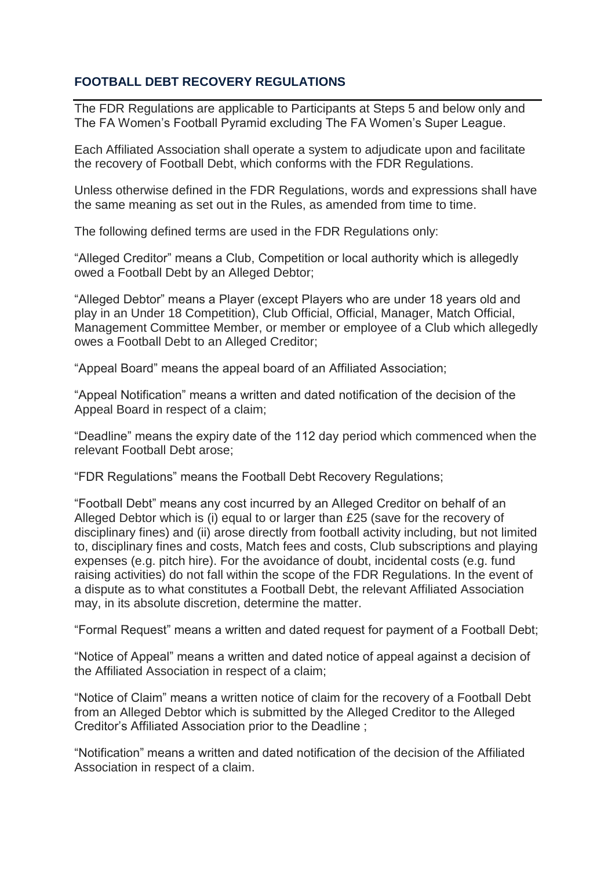## **FOOTBALL DEBT RECOVERY REGULATIONS**

The FDR Regulations are applicable to Participants at Steps 5 and below only and The FA Women's Football Pyramid excluding The FA Women's Super League.

Each Affiliated Association shall operate a system to adjudicate upon and facilitate the recovery of Football Debt, which conforms with the FDR Regulations.

Unless otherwise defined in the FDR Regulations, words and expressions shall have the same meaning as set out in the Rules, as amended from time to time.

The following defined terms are used in the FDR Regulations only:

"Alleged Creditor" means a Club, Competition or local authority which is allegedly owed a Football Debt by an Alleged Debtor;

"Alleged Debtor" means a Player (except Players who are under 18 years old and play in an Under 18 Competition), Club Official, Official, Manager, Match Official, Management Committee Member, or member or employee of a Club which allegedly owes a Football Debt to an Alleged Creditor;

"Appeal Board" means the appeal board of an Affiliated Association;

"Appeal Notification" means a written and dated notification of the decision of the Appeal Board in respect of a claim;

"Deadline" means the expiry date of the 112 day period which commenced when the relevant Football Debt arose;

"FDR Regulations" means the Football Debt Recovery Regulations;

"Football Debt" means any cost incurred by an Alleged Creditor on behalf of an Alleged Debtor which is (i) equal to or larger than £25 (save for the recovery of disciplinary fines) and (ii) arose directly from football activity including, but not limited to, disciplinary fines and costs, Match fees and costs, Club subscriptions and playing expenses (e.g. pitch hire). For the avoidance of doubt, incidental costs (e.g. fund raising activities) do not fall within the scope of the FDR Regulations. In the event of a dispute as to what constitutes a Football Debt, the relevant Affiliated Association may, in its absolute discretion, determine the matter.

"Formal Request" means a written and dated request for payment of a Football Debt;

"Notice of Appeal" means a written and dated notice of appeal against a decision of the Affiliated Association in respect of a claim;

"Notice of Claim" means a written notice of claim for the recovery of a Football Debt from an Alleged Debtor which is submitted by the Alleged Creditor to the Alleged Creditor's Affiliated Association prior to the Deadline ;

"Notification" means a written and dated notification of the decision of the Affiliated Association in respect of a claim.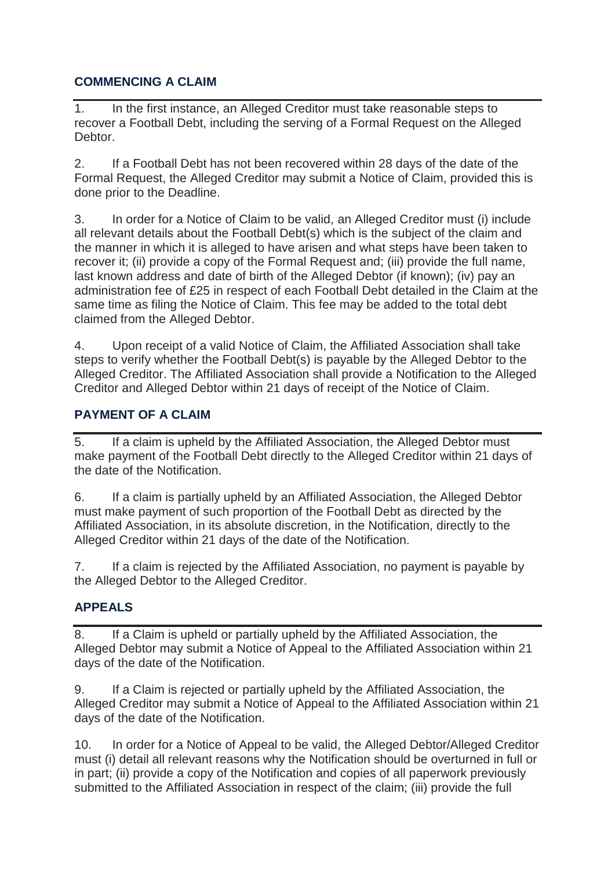# **COMMENCING A CLAIM**

1. In the first instance, an Alleged Creditor must take reasonable steps to recover a Football Debt, including the serving of a Formal Request on the Alleged Debtor.

2. If a Football Debt has not been recovered within 28 days of the date of the Formal Request, the Alleged Creditor may submit a Notice of Claim, provided this is done prior to the Deadline.

3. In order for a Notice of Claim to be valid, an Alleged Creditor must (i) include all relevant details about the Football Debt(s) which is the subject of the claim and the manner in which it is alleged to have arisen and what steps have been taken to recover it; (ii) provide a copy of the Formal Request and; (iii) provide the full name, last known address and date of birth of the Alleged Debtor (if known); (iv) pay an administration fee of £25 in respect of each Football Debt detailed in the Claim at the same time as filing the Notice of Claim. This fee may be added to the total debt claimed from the Alleged Debtor.

4. Upon receipt of a valid Notice of Claim, the Affiliated Association shall take steps to verify whether the Football Debt(s) is payable by the Alleged Debtor to the Alleged Creditor. The Affiliated Association shall provide a Notification to the Alleged Creditor and Alleged Debtor within 21 days of receipt of the Notice of Claim.

## **PAYMENT OF A CLAIM**

5. If a claim is upheld by the Affiliated Association, the Alleged Debtor must make payment of the Football Debt directly to the Alleged Creditor within 21 days of the date of the Notification.

6. If a claim is partially upheld by an Affiliated Association, the Alleged Debtor must make payment of such proportion of the Football Debt as directed by the Affiliated Association, in its absolute discretion, in the Notification, directly to the Alleged Creditor within 21 days of the date of the Notification.

7. If a claim is rejected by the Affiliated Association, no payment is payable by the Alleged Debtor to the Alleged Creditor.

## **APPEALS**

8. If a Claim is upheld or partially upheld by the Affiliated Association, the Alleged Debtor may submit a Notice of Appeal to the Affiliated Association within 21 days of the date of the Notification.

9. If a Claim is rejected or partially upheld by the Affiliated Association, the Alleged Creditor may submit a Notice of Appeal to the Affiliated Association within 21 days of the date of the Notification.

10. In order for a Notice of Appeal to be valid, the Alleged Debtor/Alleged Creditor must (i) detail all relevant reasons why the Notification should be overturned in full or in part; (ii) provide a copy of the Notification and copies of all paperwork previously submitted to the Affiliated Association in respect of the claim; (iii) provide the full